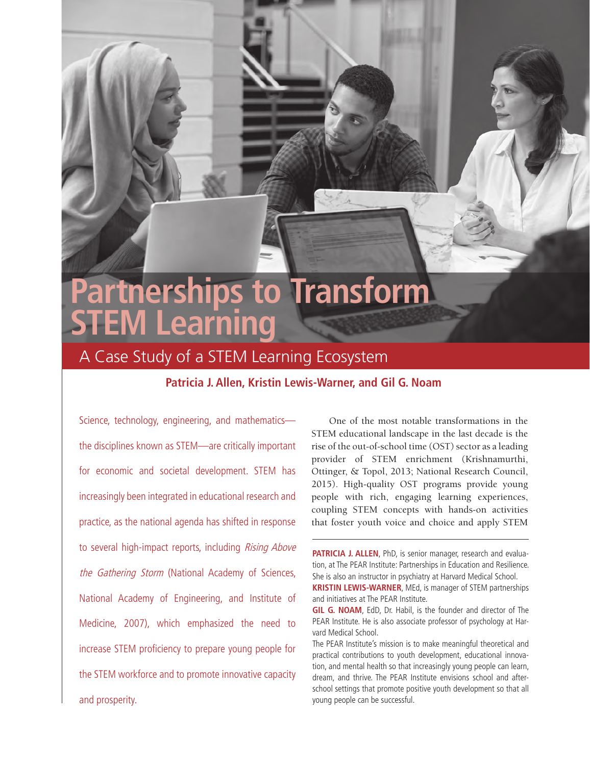# **Partnerships to Transform STEM Learning**

# A Case Study of a STEM Learning Ecosystem

# **Patricia J. Allen, Kristin Lewis-Warner, and Gil G. Noam**

Science, technology, engineering, and mathematics the disciplines known as STEM—are critically important for economic and societal development. STEM has increasingly been integrated in educational research and practice, as the national agenda has shifted in response to several high-impact reports, including Rising Above the Gathering Storm (National Academy of Sciences, National Academy of Engineering, and Institute of Medicine, 2007), which emphasized the need to increase STEM proficiency to prepare young people for the STEM workforce and to promote innovative capacity and prosperity.

One of the most notable transformations in the STEM educational landscape in the last decade is the rise of the out-of-school time (OST) sector as a leading provider of STEM enrichment (Krishnamurthi, Ottinger, & Topol, 2013; National Research Council, 2015). High-quality OST programs provide young people with rich, engaging learning experiences, coupling STEM concepts with hands-on activities that foster youth voice and choice and apply STEM

PATRICIA J. ALLEN, PhD, is senior manager, research and evaluation, at The PEAR Institute: Partnerships in Education and Resilience. She is also an instructor in psychiatry at Harvard Medical School. **KRISTIN LEWIS-WARNER**, MEd, is manager of STEM partnerships

and initiatives at The PEAR Institute.

**GIL G. NOAM**, EdD, Dr. Habil, is the founder and director of The PEAR Institute. He is also associate professor of psychology at Harvard Medical School.

The PEAR Institute's mission is to make meaningful theoretical and practical contributions to youth development, educational innovation, and mental health so that increasingly young people can learn, dream, and thrive. The PEAR Institute envisions school and afterschool settings that promote positive youth development so that all young people can be successful.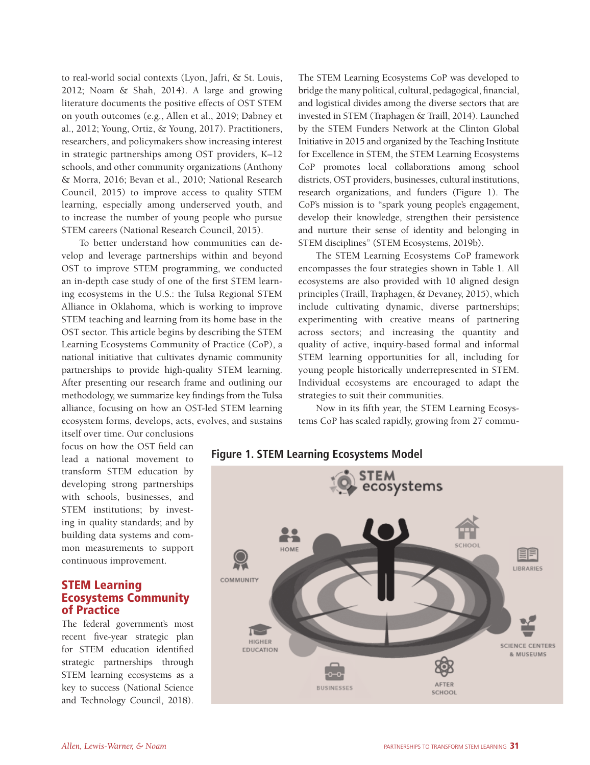to real-world social contexts (Lyon, Jafri, & St. Louis, 2012; Noam & Shah, 2014). A large and growing literature documents the positive effects of OST STEM on youth outcomes (e.g., Allen et al., 2019; Dabney et al., 2012; Young, Ortiz, & Young, 2017). Practitioners, researchers, and policymakers show increasing interest in strategic partnerships among OST providers, K–12 schools, and other community organizations (Anthony & Morra, 2016; Bevan et al., 2010; National Research Council, 2015) to improve access to quality STEM learning, especially among underserved youth, and to increase the number of young people who pursue STEM careers (National Research Council, 2015).

To better understand how communities can develop and leverage partnerships within and beyond OST to improve STEM programming, we conducted an in-depth case study of one of the first STEM learning ecosystems in the U.S.: the Tulsa Regional STEM Alliance in Oklahoma, which is working to improve STEM teaching and learning from its home base in the OST sector. This article begins by describing the STEM Learning Ecosystems Community of Practice (CoP), a national initiative that cultivates dynamic community partnerships to provide high-quality STEM learning. After presenting our research frame and outlining our methodology, we summarize key findings from the Tulsa alliance, focusing on how an OST-led STEM learning ecosystem forms, develops, acts, evolves, and sustains

The STEM Learning Ecosystems CoP was developed to bridge the many political, cultural, pedagogical, financial, and logistical divides among the diverse sectors that are invested in STEM (Traphagen & Traill, 2014). Launched by the STEM Funders Network at the Clinton Global Initiative in 2015 and organized by the Teaching Institute for Excellence in STEM, the STEM Learning Ecosystems CoP promotes local collaborations among school districts, OST providers, businesses, cultural institutions, research organizations, and funders (Figure 1). The CoP's mission is to "spark young people's engagement, develop their knowledge, strengthen their persistence and nurture their sense of identity and belonging in STEM disciplines" (STEM Ecosystems, 2019b).

The STEM Learning Ecosystems CoP framework encompasses the four strategies shown in Table 1. All ecosystems are also provided with 10 aligned design principles (Traill, Traphagen, & Devaney, 2015), which include cultivating dynamic, diverse partnerships; experimenting with creative means of partnering across sectors; and increasing the quantity and quality of active, inquiry-based formal and informal STEM learning opportunities for all, including for young people historically underrepresented in STEM. Individual ecosystems are encouraged to adapt the strategies to suit their communities.

Now in its fifth year, the STEM Learning Ecosystems CoP has scaled rapidly, growing from 27 commu-

itself over time. Our conclusions focus on how the OST field can lead a national movement to transform STEM education by developing strong partnerships with schools, businesses, and STEM institutions; by investing in quality standards; and by building data systems and common measurements to support continuous improvement.

# STEM Learning Ecosystems Community of Practice

The federal government's most recent five-year strategic plan for STEM education identified strategic partnerships through STEM learning ecosystems as a key to success (National Science and Technology Council, 2018).



# **Figure 1. STEM Learning Ecosystems Model**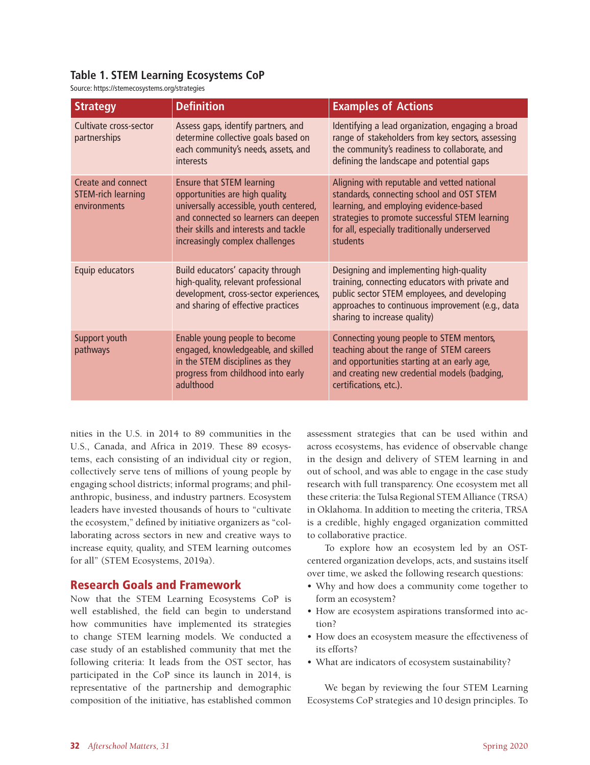# **Table 1. STEM Learning Ecosystems CoP**

Source: https://stemecosystems.org/strategies

| <b>Strategy</b>                                                 | <b>Definition</b>                                                                                                                                                                                                                  | <b>Examples of Actions</b>                                                                                                                                                                                                                        |  |  |
|-----------------------------------------------------------------|------------------------------------------------------------------------------------------------------------------------------------------------------------------------------------------------------------------------------------|---------------------------------------------------------------------------------------------------------------------------------------------------------------------------------------------------------------------------------------------------|--|--|
| Cultivate cross-sector<br>partnerships                          | Assess gaps, identify partners, and<br>determine collective goals based on<br>each community's needs, assets, and<br><i>interests</i>                                                                                              | Identifying a lead organization, engaging a broad<br>range of stakeholders from key sectors, assessing<br>the community's readiness to collaborate, and<br>defining the landscape and potential gaps                                              |  |  |
| Create and connect<br><b>STEM-rich learning</b><br>environments | <b>Ensure that STEM learning</b><br>opportunities are high quality,<br>universally accessible, youth centered,<br>and connected so learners can deepen<br>their skills and interests and tackle<br>increasingly complex challenges | Aligning with reputable and vetted national<br>standards, connecting school and OST STEM<br>learning, and employing evidence-based<br>strategies to promote successful STEM learning<br>for all, especially traditionally underserved<br>students |  |  |
| Equip educators                                                 | Build educators' capacity through<br>high-quality, relevant professional<br>development, cross-sector experiences,<br>and sharing of effective practices                                                                           | Designing and implementing high-quality<br>training, connecting educators with private and<br>public sector STEM employees, and developing<br>approaches to continuous improvement (e.g., data<br>sharing to increase quality)                    |  |  |
| Support youth<br>pathways                                       | Enable young people to become<br>engaged, knowledgeable, and skilled<br>in the STEM disciplines as they<br>progress from childhood into early<br>adulthood                                                                         | Connecting young people to STEM mentors,<br>teaching about the range of STEM careers<br>and opportunities starting at an early age,<br>and creating new credential models (badging,<br>certifications, etc.).                                     |  |  |

nities in the U.S. in 2014 to 89 communities in the U.S., Canada, and Africa in 2019. These 89 ecosystems, each consisting of an individual city or region, collectively serve tens of millions of young people by engaging school districts; informal programs; and philanthropic, business, and industry partners. Ecosystem leaders have invested thousands of hours to "cultivate the ecosystem," defined by initiative organizers as "collaborating across sectors in new and creative ways to increase equity, quality, and STEM learning outcomes for all" (STEM Ecosystems, 2019a).

# Research Goals and Framework

Now that the STEM Learning Ecosystems CoP is well established, the field can begin to understand how communities have implemented its strategies to change STEM learning models. We conducted a case study of an established community that met the following criteria: It leads from the OST sector, has participated in the CoP since its launch in 2014, is representative of the partnership and demographic composition of the initiative, has established common assessment strategies that can be used within and across ecosystems, has evidence of observable change in the design and delivery of STEM learning in and out of school, and was able to engage in the case study research with full transparency. One ecosystem met all these criteria: the Tulsa Regional STEM Alliance (TRSA) in Oklahoma. In addition to meeting the criteria, TRSA is a credible, highly engaged organization committed to collaborative practice.

To explore how an ecosystem led by an OSTcentered organization develops, acts, and sustains itself over time, we asked the following research questions:

- Why and how does a community come together to form an ecosystem?
- How are ecosystem aspirations transformed into action?
- How does an ecosystem measure the effectiveness of its efforts?
- What are indicators of ecosystem sustainability?

We began by reviewing the four STEM Learning Ecosystems CoP strategies and 10 design principles. To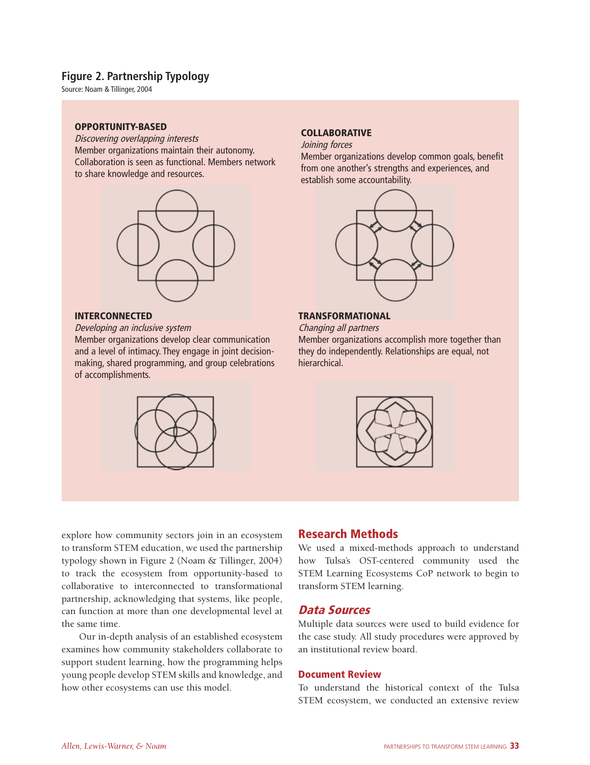# **Figure 2. Partnership Typology**

Source: Noam & Tillinger, 2004

#### OPPORTUNITY-BASED

Discovering overlapping interests Member organizations maintain their autonomy. Collaboration is seen as functional. Members network to share knowledge and resources.



#### INTERCONNECTED

Developing an inclusive system Member organizations develop clear communication and a level of intimacy. They engage in joint decisionmaking, shared programming, and group celebrations of accomplishments.



# **COLLABORATIVE**

Joining forces

Member organizations develop common goals, benefit from one another's strengths and experiences, and establish some accountability.



#### TRANSFORMATIONAL

Changing all partners Member organizations accomplish more together than they do independently. Relationships are equal, not hierarchical.



explore how community sectors join in an ecosystem to transform STEM education, we used the partnership typology shown in Figure 2 (Noam & Tillinger, 2004) to track the ecosystem from opportunity-based to collaborative to interconnected to transformational partnership, acknowledging that systems, like people, can function at more than one developmental level at the same time.

Our in-depth analysis of an established ecosystem examines how community stakeholders collaborate to support student learning, how the programming helps young people develop STEM skills and knowledge, and how other ecosystems can use this model.

# Research Methods

We used a mixed-methods approach to understand how Tulsa's OST-centered community used the STEM Learning Ecosystems CoP network to begin to transform STEM learning.

# Data Sources

Multiple data sources were used to build evidence for the case study. All study procedures were approved by an institutional review board.

#### Document Review

To understand the historical context of the Tulsa STEM ecosystem, we conducted an extensive review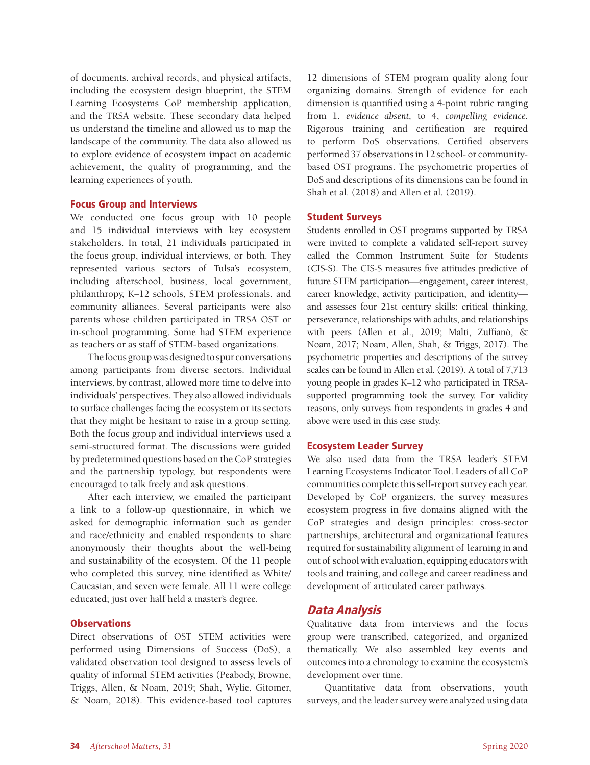of documents, archival records, and physical artifacts, including the ecosystem design blueprint, the STEM Learning Ecosystems CoP membership application, and the TRSA website. These secondary data helped us understand the timeline and allowed us to map the landscape of the community. The data also allowed us to explore evidence of ecosystem impact on academic achievement, the quality of programming, and the learning experiences of youth.

#### Focus Group and Interviews

We conducted one focus group with 10 people and 15 individual interviews with key ecosystem stakeholders. In total, 21 individuals participated in the focus group, individual interviews, or both. They represented various sectors of Tulsa's ecosystem, including afterschool, business, local government, philanthropy, K–12 schools, STEM professionals, and community alliances. Several participants were also parents whose children participated in TRSA OST or in-school programming. Some had STEM experience as teachers or as staff of STEM-based organizations.

The focus group was designed to spur conversations among participants from diverse sectors. Individual interviews, by contrast, allowed more time to delve into individuals' perspectives. They also allowed individuals to surface challenges facing the ecosystem or its sectors that they might be hesitant to raise in a group setting. Both the focus group and individual interviews used a semi-structured format. The discussions were guided by predetermined questions based on the CoP strategies and the partnership typology, but respondents were encouraged to talk freely and ask questions.

After each interview, we emailed the participant a link to a follow-up questionnaire, in which we asked for demographic information such as gender and race/ethnicity and enabled respondents to share anonymously their thoughts about the well-being and sustainability of the ecosystem. Of the 11 people who completed this survey, nine identified as White/ Caucasian, and seven were female. All 11 were college educated; just over half held a master's degree.

#### **Observations**

Direct observations of OST STEM activities were performed using Dimensions of Success (DoS), a validated observation tool designed to assess levels of quality of informal STEM activities (Peabody, Browne, Triggs, Allen, & Noam, 2019; Shah, Wylie, Gitomer, & Noam, 2018). This evidence-based tool captures 12 dimensions of STEM program quality along four organizing domains. Strength of evidence for each dimension is quantified using a 4-point rubric ranging from 1, *evidence absent,* to 4, *compelling evidence.* Rigorous training and certification are required to perform DoS observations. Certified observers performed 37 observations in 12 school- or communitybased OST programs. The psychometric properties of DoS and descriptions of its dimensions can be found in Shah et al. (2018) and Allen et al. (2019).

#### Student Surveys

Students enrolled in OST programs supported by TRSA were invited to complete a validated self-report survey called the Common Instrument Suite for Students (CIS-S). The CIS-S measures five attitudes predictive of future STEM participation—engagement, career interest, career knowledge, activity participation, and identity and assesses four 21st century skills: critical thinking, perseverance, relationships with adults, and relationships with peers (Allen et al., 2019; Malti, Zuffianò, & Noam, 2017; Noam, Allen, Shah, & Triggs, 2017). The psychometric properties and descriptions of the survey scales can be found in Allen et al. (2019). A total of 7,713 young people in grades K–12 who participated in TRSAsupported programming took the survey. For validity reasons, only surveys from respondents in grades 4 and above were used in this case study.

#### Ecosystem Leader Survey

We also used data from the TRSA leader's STEM Learning Ecosystems Indicator Tool. Leaders of all CoP communities complete this self-report survey each year. Developed by CoP organizers, the survey measures ecosystem progress in five domains aligned with the CoP strategies and design principles: cross-sector partnerships, architectural and organizational features required for sustainability, alignment of learning in and out of school with evaluation, equipping educators with tools and training, and college and career readiness and development of articulated career pathways.

#### Data Analysis

Qualitative data from interviews and the focus group were transcribed, categorized, and organized thematically. We also assembled key events and outcomes into a chronology to examine the ecosystem's development over time.

Quantitative data from observations, youth surveys, and the leader survey were analyzed using data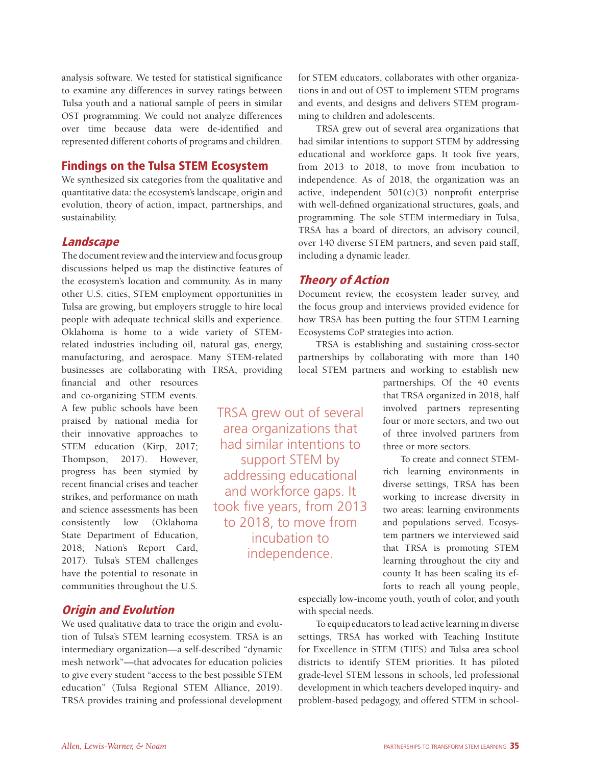analysis software. We tested for statistical significance to examine any differences in survey ratings between Tulsa youth and a national sample of peers in similar OST programming. We could not analyze differences over time because data were de-identified and represented different cohorts of programs and children.

# Findings on the Tulsa STEM Ecosystem

We synthesized six categories from the qualitative and quantitative data: the ecosystem's landscape, origin and evolution, theory of action, impact, partnerships, and sustainability.

## Landscape

The document review and the interview and focus group discussions helped us map the distinctive features of the ecosystem's location and community. As in many other U.S. cities, STEM employment opportunities in Tulsa are growing, but employers struggle to hire local people with adequate technical skills and experience. Oklahoma is home to a wide variety of STEMrelated industries including oil, natural gas, energy, manufacturing, and aerospace. Many STEM-related businesses are collaborating with TRSA, providing

financial and other resources and co-organizing STEM events. A few public schools have been praised by national media for their innovative approaches to STEM education (Kirp, 2017; Thompson, 2017). However, progress has been stymied by recent financial crises and teacher strikes, and performance on math and science assessments has been consistently low (Oklahoma State Department of Education, 2018; Nation's Report Card, 2017). Tulsa's STEM challenges have the potential to resonate in communities throughout the U.S.

TRSA grew out of several area organizations that had similar intentions to support STEM by addressing educational and workforce gaps. It took five years, from 2013 to 2018, to move from incubation to independence.

for STEM educators, collaborates with other organizations in and out of OST to implement STEM programs and events, and designs and delivers STEM programming to children and adolescents.

TRSA grew out of several area organizations that had similar intentions to support STEM by addressing educational and workforce gaps. It took five years, from 2013 to 2018, to move from incubation to independence. As of 2018, the organization was an active, independent 501(c)(3) nonprofit enterprise with well-defined organizational structures, goals, and programming. The sole STEM intermediary in Tulsa, TRSA has a board of directors, an advisory council, over 140 diverse STEM partners, and seven paid staff, including a dynamic leader.

# Theory of Action

Document review, the ecosystem leader survey, and the focus group and interviews provided evidence for how TRSA has been putting the four STEM Learning Ecosystems CoP strategies into action.

TRSA is establishing and sustaining cross-sector partnerships by collaborating with more than 140 local STEM partners and working to establish new

> partnerships. Of the 40 events that TRSA organized in 2018, half involved partners representing four or more sectors, and two out of three involved partners from three or more sectors.

> To create and connect STEMrich learning environments in diverse settings, TRSA has been working to increase diversity in two areas: learning environments and populations served. Ecosystem partners we interviewed said that TRSA is promoting STEM learning throughout the city and county. It has been scaling its efforts to reach all young people,

especially low-income youth, youth of color, and youth with special needs.

To equip educators to lead active learning in diverse settings, TRSA has worked with Teaching Institute for Excellence in STEM (TIES) and Tulsa area school districts to identify STEM priorities. It has piloted grade-level STEM lessons in schools, led professional development in which teachers developed inquiry- and problem-based pedagogy, and offered STEM in school-

# Origin and Evolution

We used qualitative data to trace the origin and evolution of Tulsa's STEM learning ecosystem. TRSA is an intermediary organization—a self-described "dynamic mesh network"—that advocates for education policies to give every student "access to the best possible STEM education" (Tulsa Regional STEM Alliance, 2019). TRSA provides training and professional development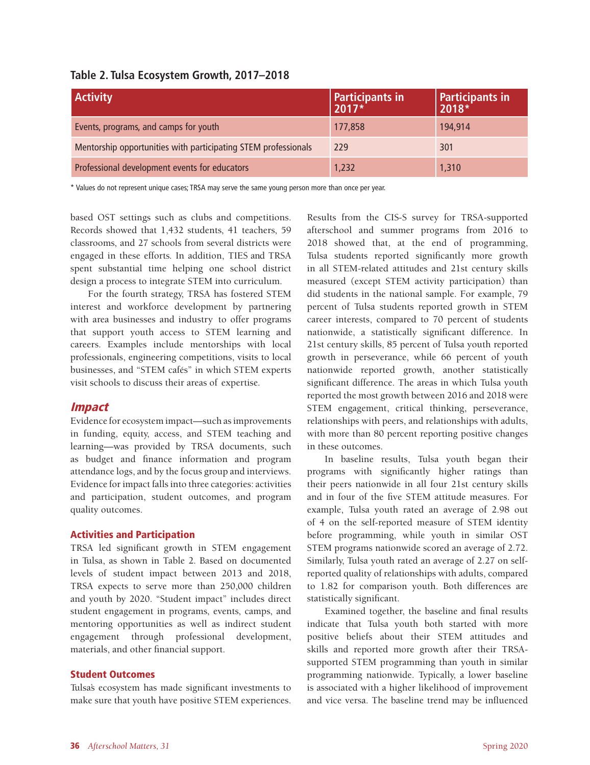|  | Table 2. Tulsa Ecosystem Growth, 2017-2018 |  |  |
|--|--------------------------------------------|--|--|
|--|--------------------------------------------|--|--|

| <b>Activity</b>                                                | Participants in<br>2017* | Participants in |
|----------------------------------------------------------------|--------------------------|-----------------|
| Events, programs, and camps for youth                          | 177,858                  | 194,914         |
| Mentorship opportunities with participating STEM professionals | 229                      | 301             |
| Professional development events for educators                  | 1,232                    | 1,310           |

\* Values do not represent unique cases; TRSA may serve the same young person more than once per year.

based OST settings such as clubs and competitions. Records showed that 1,432 students, 41 teachers, 59 classrooms, and 27 schools from several districts were engaged in these efforts. In addition, TIES and TRSA spent substantial time helping one school district design a process to integrate STEM into curriculum.

For the fourth strategy, TRSA has fostered STEM interest and workforce development by partnering with area businesses and industry to offer programs that support youth access to STEM learning and careers. Examples include mentorships with local professionals, engineering competitions, visits to local businesses, and "STEM cafés" in which STEM experts visit schools to discuss their areas of expertise.

#### Impact

Evidence for ecosystem impact—such as improvements in funding, equity, access, and STEM teaching and learning—was provided by TRSA documents, such as budget and finance information and program attendance logs, and by the focus group and interviews. Evidence for impact falls into three categories: activities and participation, student outcomes, and program quality outcomes.

#### Activities and Participation

TRSA led significant growth in STEM engagement in Tulsa, as shown in Table 2. Based on documented levels of student impact between 2013 and 2018, TRSA expects to serve more than 250,000 children and youth by 2020. "Student impact" includes direct student engagement in programs, events, camps, and mentoring opportunities as well as indirect student engagement through professional development, materials, and other financial support.

#### Student Outcomes

Tulsa's ecosystem has made significant investments to make sure that youth have positive STEM experiences. Results from the CIS-S survey for TRSA-supported afterschool and summer programs from 2016 to 2018 showed that, at the end of programming, Tulsa students reported significantly more growth in all STEM-related attitudes and 21st century skills measured (except STEM activity participation) than did students in the national sample. For example, 79 percent of Tulsa students reported growth in STEM career interests, compared to 70 percent of students nationwide, a statistically significant difference. In 21st century skills, 85 percent of Tulsa youth reported growth in perseverance, while 66 percent of youth nationwide reported growth, another statistically significant difference. The areas in which Tulsa youth reported the most growth between 2016 and 2018 were STEM engagement, critical thinking, perseverance, relationships with peers, and relationships with adults, with more than 80 percent reporting positive changes in these outcomes.

In baseline results, Tulsa youth began their programs with significantly higher ratings than their peers nationwide in all four 21st century skills and in four of the five STEM attitude measures. For example, Tulsa youth rated an average of 2.98 out of 4 on the self-reported measure of STEM identity before programming, while youth in similar OST STEM programs nationwide scored an average of 2.72. Similarly, Tulsa youth rated an average of 2.27 on selfreported quality of relationships with adults, compared to 1.82 for comparison youth. Both differences are statistically significant.

Examined together, the baseline and final results indicate that Tulsa youth both started with more positive beliefs about their STEM attitudes and skills and reported more growth after their TRSAsupported STEM programming than youth in similar programming nationwide. Typically, a lower baseline is associated with a higher likelihood of improvement and vice versa. The baseline trend may be influenced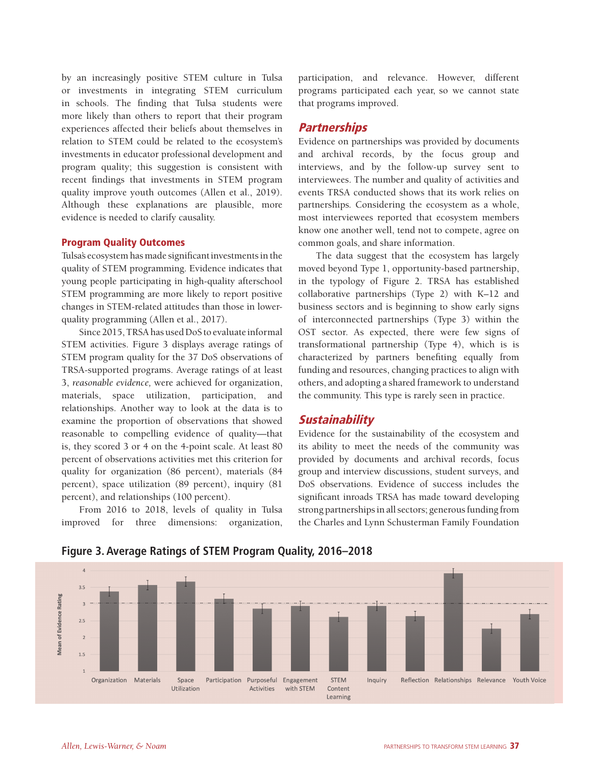by an increasingly positive STEM culture in Tulsa or investments in integrating STEM curriculum in schools. The finding that Tulsa students were more likely than others to report that their program experiences affected their beliefs about themselves in relation to STEM could be related to the ecosystem's investments in educator professional development and program quality; this suggestion is consistent with recent findings that investments in STEM program quality improve youth outcomes (Allen et al., 2019). Although these explanations are plausible, more evidence is needed to clarify causality.

#### Program Quality Outcomes

Tulsa's ecosystem has made significant investments in the quality of STEM programming. Evidence indicates that young people participating in high-quality afterschool STEM programming are more likely to report positive changes in STEM-related attitudes than those in lowerquality programming (Allen et al., 2017).

Since 2015, TRSA has used DoS to evaluate informal STEM activities. Figure 3 displays average ratings of STEM program quality for the 37 DoS observations of TRSA-supported programs. Average ratings of at least 3, *reasonable evidence,* were achieved for organization, materials, space utilization, participation, and relationships. Another way to look at the data is to examine the proportion of observations that showed reasonable to compelling evidence of quality—that is, they scored 3 or 4 on the 4-point scale. At least 80 percent of observations activities met this criterion for quality for organization (86 percent), materials (84 percent), space utilization (89 percent), inquiry (81 percent), and relationships (100 percent).

From 2016 to 2018, levels of quality in Tulsa improved for three dimensions: organization, participation, and relevance. However, different programs participated each year, so we cannot state that programs improved.

#### **Partnerships**

Evidence on partnerships was provided by documents and archival records, by the focus group and interviews, and by the follow-up survey sent to interviewees. The number and quality of activities and events TRSA conducted shows that its work relies on partnerships. Considering the ecosystem as a whole, most interviewees reported that ecosystem members know one another well, tend not to compete, agree on common goals, and share information.

The data suggest that the ecosystem has largely moved beyond Type 1, opportunity-based partnership, in the typology of Figure 2. TRSA has established collaborative partnerships (Type 2) with K–12 and business sectors and is beginning to show early signs of interconnected partnerships (Type 3) within the OST sector. As expected, there were few signs of transformational partnership (Type 4), which is is characterized by partners benefiting equally from funding and resources, changing practices to align with others, and adopting a shared framework to understand the community. This type is rarely seen in practice.

#### **Sustainability**

Evidence for the sustainability of the ecosystem and its ability to meet the needs of the community was provided by documents and archival records, focus group and interview discussions, student surveys, and DoS observations. Evidence of success includes the significant inroads TRSA has made toward developing strong partnerships in all sectors; generous funding from the Charles and Lynn Schusterman Family Foundation



**Figure 3. Average Ratings of STEM Program Quality, 2016–2018**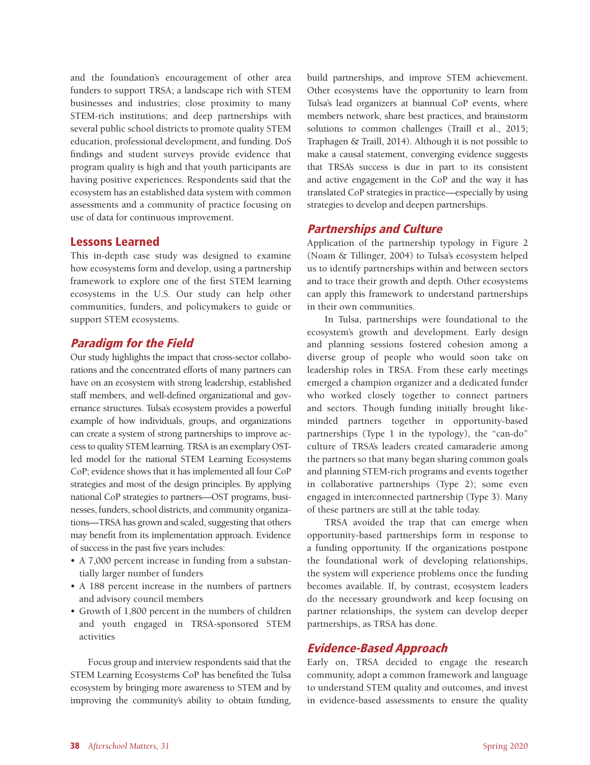and the foundation's encouragement of other area funders to support TRSA; a landscape rich with STEM businesses and industries; close proximity to many STEM-rich institutions; and deep partnerships with several public school districts to promote quality STEM education, professional development, and funding. DoS findings and student surveys provide evidence that program quality is high and that youth participants are having positive experiences. Respondents said that the ecosystem has an established data system with common assessments and a community of practice focusing on use of data for continuous improvement.

#### Lessons Learned

This in-depth case study was designed to examine how ecosystems form and develop, using a partnership framework to explore one of the first STEM learning ecosystems in the U.S. Our study can help other communities, funders, and policymakers to guide or support STEM ecosystems.

#### Paradigm for the Field

Our study highlights the impact that cross-sector collaborations and the concentrated efforts of many partners can have on an ecosystem with strong leadership, established staff members, and well-defined organizational and governance structures. Tulsa's ecosystem provides a powerful example of how individuals, groups, and organizations can create a system of strong partnerships to improve access to quality STEM learning. TRSA is an exemplary OSTled model for the national STEM Learning Ecosystems CoP; evidence shows that it has implemented all four CoP strategies and most of the design principles. By applying national CoP strategies to partners—OST programs, businesses, funders, school districts, and community organizations—TRSA has grown and scaled, suggesting that others may benefit from its implementation approach. Evidence of success in the past five years includes:

- A 7,000 percent increase in funding from a substantially larger number of funders
- A 188 percent increase in the numbers of partners and advisory council members
- Growth of 1,800 percent in the numbers of children and youth engaged in TRSA-sponsored STEM activities

Focus group and interview respondents said that the STEM Learning Ecosystems CoP has benefited the Tulsa ecosystem by bringing more awareness to STEM and by improving the community's ability to obtain funding,

build partnerships, and improve STEM achievement. Other ecosystems have the opportunity to learn from Tulsa's lead organizers at biannual CoP events, where members network, share best practices, and brainstorm solutions to common challenges (Traill et al., 2015; Traphagen & Traill, 2014). Although it is not possible to make a causal statement, converging evidence suggests that TRSA's success is due in part to its consistent and active engagement in the CoP and the way it has translated CoP strategies in practice—especially by using strategies to develop and deepen partnerships.

#### Partnerships and Culture

Application of the partnership typology in Figure 2 (Noam & Tillinger, 2004) to Tulsa's ecosystem helped us to identify partnerships within and between sectors and to trace their growth and depth. Other ecosystems can apply this framework to understand partnerships in their own communities.

In Tulsa, partnerships were foundational to the ecosystem's growth and development. Early design and planning sessions fostered cohesion among a diverse group of people who would soon take on leadership roles in TRSA. From these early meetings emerged a champion organizer and a dedicated funder who worked closely together to connect partners and sectors. Though funding initially brought likeminded partners together in opportunity-based partnerships (Type 1 in the typology), the "can-do" culture of TRSA's leaders created camaraderie among the partners so that many began sharing common goals and planning STEM-rich programs and events together in collaborative partnerships (Type 2); some even engaged in interconnected partnership (Type 3). Many of these partners are still at the table today.

TRSA avoided the trap that can emerge when opportunity-based partnerships form in response to a funding opportunity. If the organizations postpone the foundational work of developing relationships, the system will experience problems once the funding becomes available. If, by contrast, ecosystem leaders do the necessary groundwork and keep focusing on partner relationships, the system can develop deeper partnerships, as TRSA has done.

## Evidence-Based Approach

Early on, TRSA decided to engage the research community, adopt a common framework and language to understand STEM quality and outcomes, and invest in evidence-based assessments to ensure the quality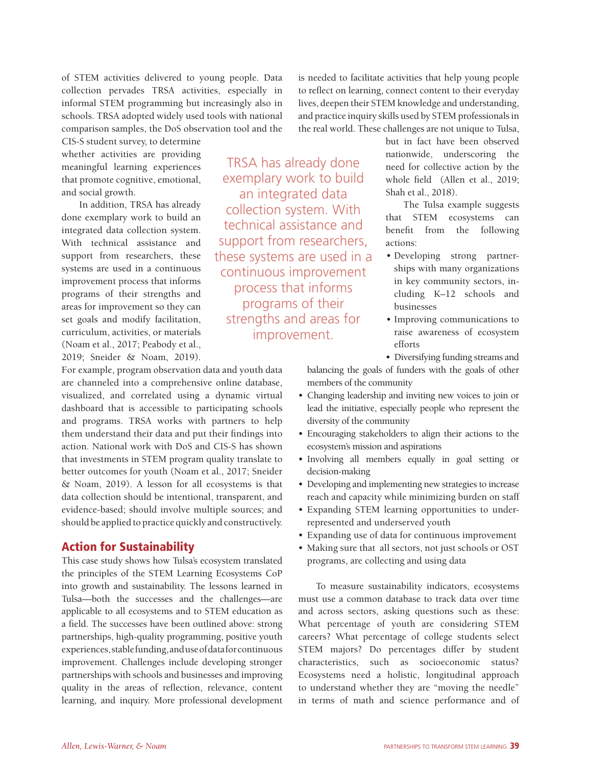of STEM activities delivered to young people. Data collection pervades TRSA activities, especially in informal STEM programming but increasingly also in schools. TRSA adopted widely used tools with national comparison samples, the DoS observation tool and the

CIS-S student survey, to determine whether activities are providing meaningful learning experiences that promote cognitive, emotional, and social growth.

In addition, TRSA has already done exemplary work to build an integrated data collection system. With technical assistance and support from researchers, these systems are used in a continuous improvement process that informs programs of their strengths and areas for improvement so they can set goals and modify facilitation, curriculum, activities, or materials (Noam et al., 2017; Peabody et al., 2019; Sneider & Noam, 2019).

For example, program observation data and youth data are channeled into a comprehensive online database, visualized, and correlated using a dynamic virtual dashboard that is accessible to participating schools and programs. TRSA works with partners to help them understand their data and put their findings into action. National work with DoS and CIS-S has shown that investments in STEM program quality translate to better outcomes for youth (Noam et al., 2017; Sneider & Noam, 2019). A lesson for all ecosystems is that data collection should be intentional, transparent, and evidence-based; should involve multiple sources; and should be applied to practice quickly and constructively.

#### Action for Sustainability

This case study shows how Tulsa's ecosystem translated the principles of the STEM Learning Ecosystems CoP into growth and sustainability. The lessons learned in Tulsa—both the successes and the challenges—are applicable to all ecosystems and to STEM education as a field. The successes have been outlined above: strong partnerships, high-quality programming, positive youth experiences, stable funding, and use of data for continuous improvement. Challenges include developing stronger partnerships with schools and businesses and improving quality in the areas of reflection, relevance, content learning, and inquiry. More professional development

TRSA has already done exemplary work to build an integrated data collection system. With technical assistance and support from researchers, these systems are used in a continuous improvement process that informs programs of their strengths and areas for improvement.

is needed to facilitate activities that help young people to reflect on learning, connect content to their everyday lives, deepen their STEM knowledge and understanding, and practice inquiry skills used by STEM professionals in the real world. These challenges are not unique to Tulsa,

> but in fact have been observed nationwide, underscoring the need for collective action by the whole field (Allen et al., 2019; Shah et al., 2018).

> The Tulsa example suggests that STEM ecosystems can benefit from the following actions:

- Developing strong partnerships with many organizations in key community sectors, including K–12 schools and businesses
- Improving communications to raise awareness of ecosystem efforts
- Diversifying funding streams and

balancing the goals of funders with the goals of other members of the community

- Changing leadership and inviting new voices to join or lead the initiative, especially people who represent the diversity of the community
- Encouraging stakeholders to align their actions to the ecosystem's mission and aspirations
- Involving all members equally in goal setting or decision-making
- Developing and implementing new strategies to increase reach and capacity while minimizing burden on staff
- Expanding STEM learning opportunities to underrepresented and underserved youth
- Expanding use of data for continuous improvement
- Making sure that all sectors, not just schools or OST programs, are collecting and using data

To measure sustainability indicators, ecosystems must use a common database to track data over time and across sectors, asking questions such as these: What percentage of youth are considering STEM careers? What percentage of college students select STEM majors? Do percentages differ by student characteristics, such as socioeconomic status? Ecosystems need a holistic, longitudinal approach to understand whether they are "moving the needle" in terms of math and science performance and of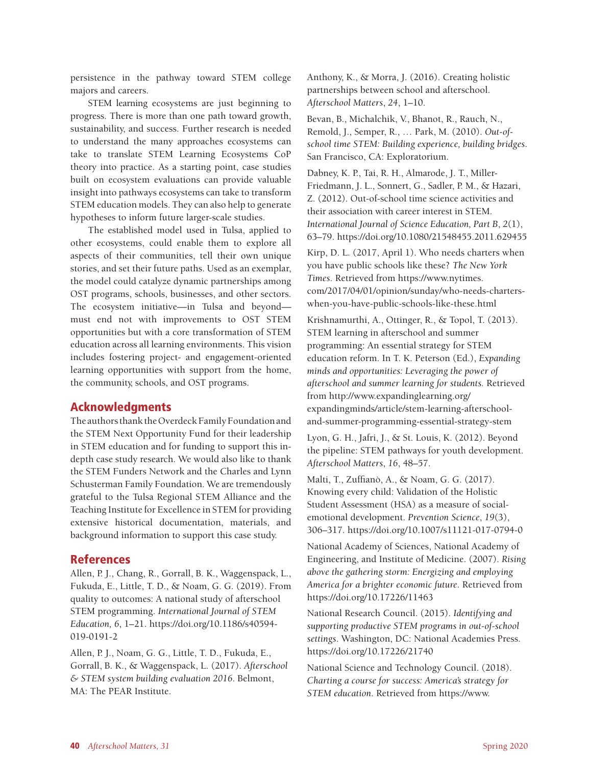persistence in the pathway toward STEM college majors and careers.

STEM learning ecosystems are just beginning to progress. There is more than one path toward growth, sustainability, and success. Further research is needed to understand the many approaches ecosystems can take to translate STEM Learning Ecosystems CoP theory into practice. As a starting point, case studies built on ecosystem evaluations can provide valuable insight into pathways ecosystems can take to transform STEM education models. They can also help to generate hypotheses to inform future larger-scale studies.

The established model used in Tulsa, applied to other ecosystems, could enable them to explore all aspects of their communities, tell their own unique stories, and set their future paths. Used as an exemplar, the model could catalyze dynamic partnerships among OST programs, schools, businesses, and other sectors. The ecosystem initiative—in Tulsa and beyond must end not with improvements to OST STEM opportunities but with a core transformation of STEM education across all learning environments. This vision includes fostering project- and engagement-oriented learning opportunities with support from the home, the community, schools, and OST programs.

# Acknowledgments

The authors thank the Overdeck Family Foundation and the STEM Next Opportunity Fund for their leadership in STEM education and for funding to support this indepth case study research. We would also like to thank the STEM Funders Network and the Charles and Lynn Schusterman Family Foundation. We are tremendously grateful to the Tulsa Regional STEM Alliance and the Teaching Institute for Excellence in STEM for providing extensive historical documentation, materials, and background information to support this case study.

# **References**

Allen, P. J., Chang, R., Gorrall, B. K., Waggenspack, L., Fukuda, E., Little, T. D., & Noam, G. G. (2019). From quality to outcomes: A national study of afterschool STEM programming. *International Journal of STEM Education, 6*, 1–21. https://doi.org/10.1186/s40594- 019-0191-2

Allen, P. J., Noam, G. G., Little, T. D., Fukuda, E., Gorrall, B. K., & Waggenspack, L. (2017). *Afterschool & STEM system building evaluation 2016*. Belmont, MA: The PEAR Institute.

Anthony, K., & Morra, J. (2016). Creating holistic partnerships between school and afterschool. *Afterschool Matters*, *24*, 1–10.

Bevan, B., Michalchik, V., Bhanot, R., Rauch, N., Remold, J., Semper, R., … Park, M. (2010). *Out-ofschool time STEM: Building experience, building bridges*. San Francisco, CA: Exploratorium.

Dabney, K. P., Tai, R. H., Almarode, J. T., Miller-Friedmann, J. L., Sonnert, G., Sadler, P. M., & Hazari, Z. (2012). Out-of-school time science activities and their association with career interest in STEM. *International Journal of Science Education, Part B*, *2*(1), 63–79. https://doi.org/10.1080/21548455.2011.629455

Kirp, D. L. (2017, April 1). Who needs charters when you have public schools like these? *The New York Times*. Retrieved from https://www.nytimes. com/2017/04/01/opinion/sunday/who-needs-charterswhen-you-have-public-schools-like-these.html

Krishnamurthi, A., Ottinger, R., & Topol, T. (2013). STEM learning in afterschool and summer programming: An essential strategy for STEM education reform. In T. K. Peterson (Ed.), *Expanding minds and opportunities: Leveraging the power of afterschool and summer learning for students.* Retrieved from http://www.expandinglearning.org/ expandingminds/article/stem-learning-afterschooland-summer-programming-essential-strategy-stem

Lyon, G. H., Jafri, J., & St. Louis, K. (2012). Beyond the pipeline: STEM pathways for youth development. *Afterschool Matters*, *16*, 48–57.

Malti, T., Zuffianò, A., & Noam, G. G. (2017). Knowing every child: Validation of the Holistic Student Assessment (HSA) as a measure of socialemotional development. *Prevention Science*, *19*(3), 306–317. https://doi.org/10.1007/s11121-017-0794-0

National Academy of Sciences, National Academy of Engineering, and Institute of Medicine. (2007). *Rising above the gathering storm: Energizing and employing America for a brighter economic future*. Retrieved from https://doi.org/10.17226/11463

National Research Council. (2015). *Identifying and supporting productive STEM programs in out-of-school settings*. Washington, DC: National Academies Press. https://doi.org/10.17226/21740

National Science and Technology Council. (2018). *Charting a course for success: America's strategy for STEM education*. Retrieved from https://www.